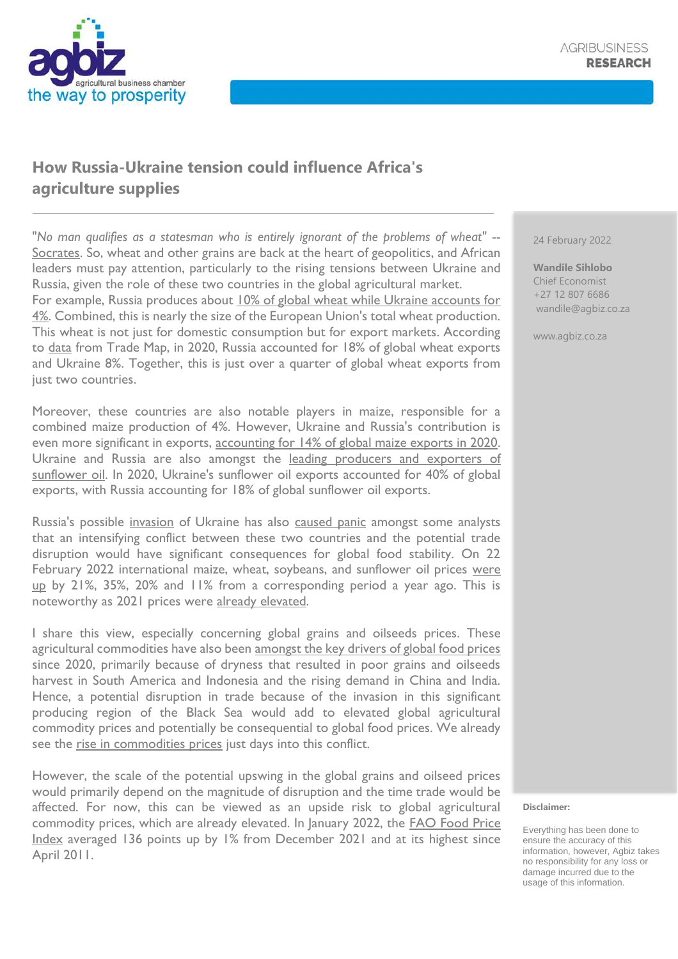## **How Russia-Ukraine tension could influence Africa's agriculture supplies**

"*No man qualifies as a statesman who is entirely ignorant of the problems of wheat"* -- [Socrates.](https://minimalistquotes.com/socrates-quote-25287/) So, wheat and other grains are back at the heart of geopolitics, and African leaders must pay attention, particularly to the rising tensions between Ukraine and Russia, given the role of these two countries in the global agricultural market. For example, Russia produces about [10% of global wheat while Ukraine accounts for](https://www.igc.int/en/default.aspx)  [4%.](https://www.igc.int/en/default.aspx) Combined, this is nearly the size of the European Union's total wheat production. This wheat is not just for domestic consumption but for export markets. According to [data](https://www.trademap.org/Bilateral_TS.aspx?nvpm=1%7c643%7c%7c%7c7%7c%7c75088%7c%7c2%7c1%7c1%7c1%7c2%7c1%7c1%7c1%7c1%7c1) from Trade Map, in 2020, Russia accounted for 18% of global wheat exports and Ukraine 8%. Together, this is just over a quarter of global wheat exports from just two countries.

Moreover, these countries are also notable players in maize, responsible for a combined maize production of 4%. However, Ukraine and Russia's contribution is even more significant in exports, [accounting for 14% of global maize exports in 2020.](https://www.trademap.org/Index.aspx?nvpm=1%7c%7c%7c%7c%7c%7c%7c%7c%7c%7c%7c%7c%7c%7c%7c%7c%7c) Ukraine and Russia are also amongst the [leading producers and exporters of](https://apps.fas.usda.gov/psdonline/circulars/oilseeds.pdf)  [sunflower oil.](https://apps.fas.usda.gov/psdonline/circulars/oilseeds.pdf) In 2020, Ukraine's sunflower oil exports accounted for 40% of global exports, with Russia accounting for 18% of global sunflower oil exports.

Russia's possible [invasion](https://www.theguardian.com/world/2022/feb/24/russia-attacks-ukraine-news-vladimir-putin-zelenskiy-russian-invasion) of Ukraine has also [caused panic](https://foreignpolicy.com/2022/01/22/russia-ukraine-war-grain-exports-africa-asia/) amongst some analysts that an intensifying conflict between these two countries and the potential trade disruption would have significant consequences for global food stability. On 22 February 2022 international maize, wheat, soybeans, and sunflower oil prices were [up](https://www.grainsa.co.za/report-documents?cat=2) by 21%, 35%, 20% and 11% from a corresponding period a year ago. This is noteworthy as 2021 prices were [already elevated.](https://www.fao.org/worldfoodsituation/foodpricesindex/en/)

I share this view, especially concerning global grains and oilseeds prices. These agricultural commodities have also been [amongst the key drivers of global food prices](https://www.fao.org/worldfoodsituation/foodpricesindex/en/) since 2020, primarily because of dryness that resulted in poor grains and oilseeds harvest in South America and Indonesia and the rising demand in China and India. Hence, a potential disruption in trade because of the invasion in this significant producing region of the Black Sea would add to elevated global agricultural commodity prices and potentially be consequential to global food prices. We already see the [rise in commodities prices](https://businesstech.co.za/news/finance/561384/food-and-petrol-prices-to-increase-amid-ukraine-crisis/) just days into this conflict.

However, the scale of the potential upswing in the global grains and oilseed prices would primarily depend on the magnitude of disruption and the time trade would be affected. For now, this can be viewed as an upside risk to global agricultural commodity prices, which are already elevated. In January 2022, the [FAO Food Price](https://www.fao.org/worldfoodsituation/foodpricesindex/en/)  [Index](https://www.fao.org/worldfoodsituation/foodpricesindex/en/) averaged 136 points up by 1% from December 2021 and at its highest since April 2011.

24 February 2022

**Wandile Sihlobo** Chief Economist +27 12 807 6686 wandile@agbiz.co.za

www.agbiz.co.za

## **Disclaimer:**

Everything has been done to ensure the accuracy of this information, however, Agbiz takes no responsibility for any loss or damage incurred due to the usage of this information.